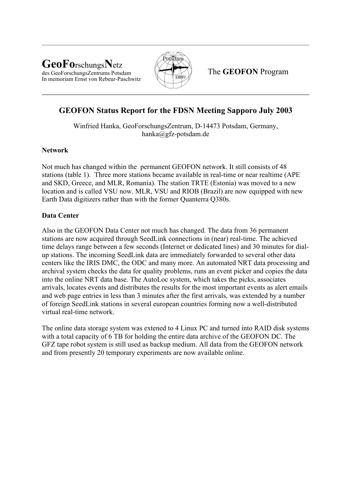### **GeoFo**rschungs**N**etz des GeoForschungsZentrums Potsdam In memoriam Ernst von Rebeur-Paschwitz



The **GEOFON** Program

# **GEOFON Status Report for the FDSN Meeting Sapporo July 2003**

Winfried Hanka, GeoForschungsZentrum, D-14473 Potsdam, Germany, hanka@gfz-potsdam.de

## **Network**

Not much has changed within the permanent GEOFON network. It still consists of 48 stations (table 1). Three more stations became available in real-time or near realtime (APE and SKD, Greece, and MLR, Romania). The station TRTE (Estonia) was moved to a new location and is called VSU now. MLR, VSU and RIOB (Brazil) are now equipped with new Earth Data digitizers rather than with the former Quanterra Q380s.

## **Data Center**

Also in the GEOFON Data Center not much has changed. The data from 36 permanent stations are now acquired through SeedLink connections in (near) real-time. The achieved time delays range between a few seconds (Internet or dedicated lines) and 30 minutes for dialup stations. The incoming SeedLink data are immediately forwarded to several other data centers like the IRIS DMC, the ODC and many more. An automated NRT data processing and archival system checks the data for quality problems, runs an event picker and copies the data into the online NRT data base. The AutoLoc system, which takes the picks, associates arrivals, locates events and distributes the results for the most important events as alert emails and web page entries in less than 3 minutes after the first arrivals, was extended by a number of foreign SeedLink stations in several european countries forming now a well-distributed virtual real-time network.

The online data storage system was extened to 4 Linux PC and turned into RAID disk systems with a total capacity of 6 TB for holding the entire data archive of the GEOFON DC. The GFZ tape robot system is still used as backup medium. All data from the GEOFON network and from presently 20 temporary experiments are now available online.